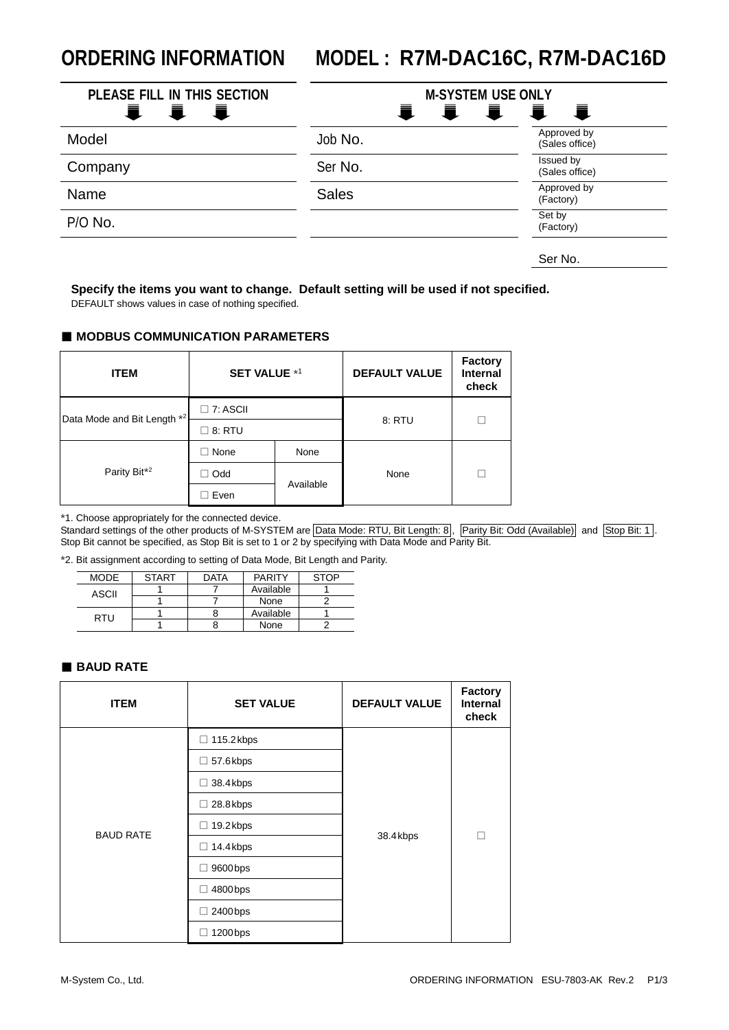# **ORDERING INFORMATION MODEL : R7M-DAC16C, R7M-DAC16D**

| PLEASE FILL IN THIS SECTION<br>量<br>- i<br>Ħ., | <b>M-SYSTEM USE ONLY</b><br>量 | 量<br>· 宣<br>$\overline{\phantom{a}}$ |
|------------------------------------------------|-------------------------------|--------------------------------------|
| Model                                          | Job No.                       | Approved by<br>(Sales office)        |
| Company                                        | Ser No.                       | Issued by<br>(Sales office)          |
| Name                                           | <b>Sales</b>                  | Approved by<br>(Factory)             |
| P/O No.                                        |                               | Set by<br>(Factory)                  |
|                                                |                               | Ser No.                              |

**Specify the items you want to change. Default setting will be used if not specified.**

DEFAULT shows values in case of nothing specified.

#### ■ **MODBUS COMMUNICATION PARAMETERS**

| <b>ITEM</b>                 | <b>SET VALUE *1</b> |           | <b>DEFAULT VALUE</b> | <b>Factory</b><br><b>Internal</b><br>check |
|-----------------------------|---------------------|-----------|----------------------|--------------------------------------------|
| Data Mode and Bit Length *2 | $\square$ 7: ASCII  |           |                      |                                            |
|                             | 8: RTU              |           | 8: RTU               |                                            |
|                             | None                | None      |                      |                                            |
| Parity Bit <sup>*2</sup>    | Odd                 | None      |                      |                                            |
|                             | Even                | Available |                      |                                            |

\*1. Choose appropriately for the connected device.

Standard settings of the other products of M-SYSTEM are Data Mode: RTU, Bit Length: 8, Parity Bit: Odd (Available) and Stop Bit: 1. Stop Bit cannot be specified, as Stop Bit is set to 1 or 2 by specifying with Data Mode and Parity Bit.

\*2. Bit assignment according to setting of Data Mode, Bit Length and Parity.

| MODE  | <b>START</b> | DATA | <b>PARITY</b> | <b>STOP</b> |
|-------|--------------|------|---------------|-------------|
| ASCII |              |      | Available     |             |
|       |              |      | None          |             |
| RTU   |              |      | Available     |             |
|       |              |      | None          |             |

#### ■ **BAUD RATE**

| <b>ITEM</b>      | <b>SET VALUE</b> | <b>DEFAULT VALUE</b> | <b>Factory</b><br><b>Internal</b><br>check |
|------------------|------------------|----------------------|--------------------------------------------|
|                  | □ 115.2 kbps     |                      | П                                          |
|                  | $\Box$ 57.6 kbps |                      |                                            |
|                  | 38.4 kbps<br>□   | 38.4 kbps            |                                            |
|                  | 28.8kbps<br>П    |                      |                                            |
| <b>BAUD RATE</b> | 19.2 kbps<br>□   |                      |                                            |
|                  | 14.4 kbps<br>□   |                      |                                            |
|                  | 9600 bps         |                      |                                            |
|                  | 4800 bps<br>ப    |                      |                                            |
|                  | 2400 bps         |                      |                                            |
|                  | 1200 bps         |                      |                                            |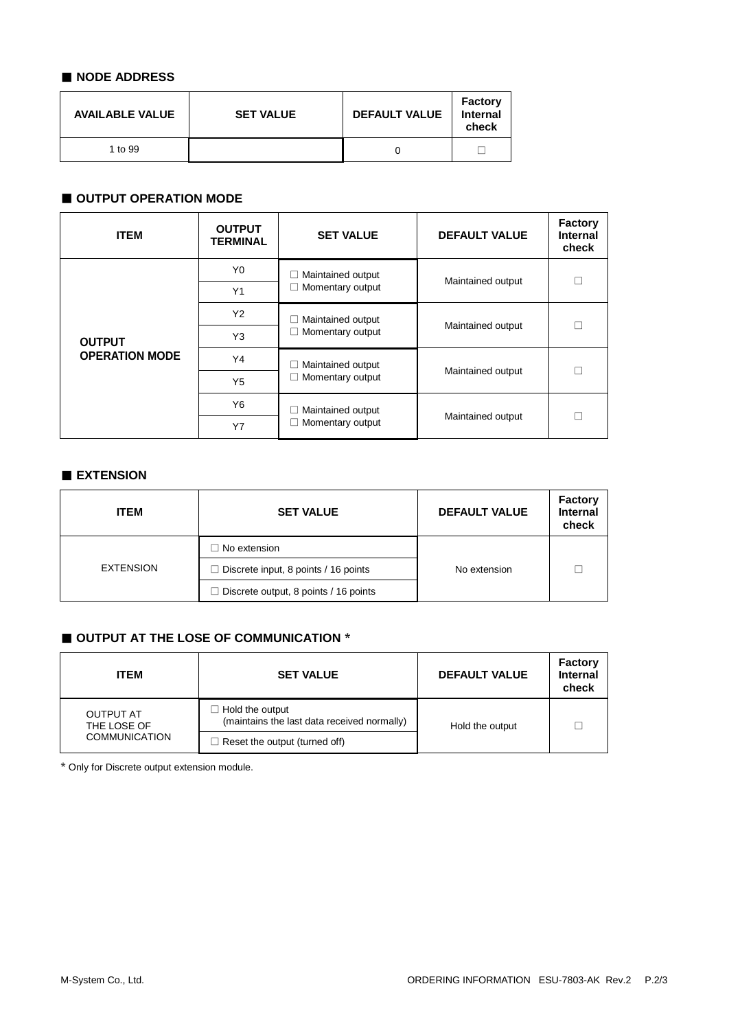## ■ **NODE ADDRESS**

| <b>AVAILABLE VALUE</b> | <b>SET VALUE</b> | <b>DEFAULT VALUE</b> | <b>Factory</b><br>Internal<br>check |
|------------------------|------------------|----------------------|-------------------------------------|
| 1 to 99                |                  |                      |                                     |

## ■ **OUTPUT OPERATION MODE**

| <b>ITEM</b>                            | <b>OUTPUT</b><br><b>TERMINAL</b> | <b>SET VALUE</b>                      | <b>DEFAULT VALUE</b> | <b>Factory</b><br>Internal<br>check |
|----------------------------------------|----------------------------------|---------------------------------------|----------------------|-------------------------------------|
|                                        | Y <sub>0</sub>                   | Maintained output                     | Maintained output    |                                     |
| <b>OUTPUT</b><br><b>OPERATION MODE</b> | Y1                               | Momentary output                      |                      |                                     |
|                                        | Y2                               | Maintained output<br>Momentary output | Maintained output    |                                     |
|                                        | Y3                               |                                       |                      |                                     |
|                                        | Y4                               | Maintained output<br>Momentary output | Maintained output    |                                     |
|                                        | Y5                               |                                       |                      |                                     |
|                                        | Y6                               | Maintained output<br>Momentary output | Maintained output    |                                     |
|                                        | Y7                               |                                       |                      |                                     |

## ■ **EXTENSION**

| <b>ITEM</b> | <b>SET VALUE</b>                             | <b>DEFAULT VALUE</b> | <b>Factory</b><br><b>Internal</b><br>check |
|-------------|----------------------------------------------|----------------------|--------------------------------------------|
| EXTENSION   | $\Box$ No extension                          |                      |                                            |
|             | $\Box$ Discrete input, 8 points / 16 points  | No extension         |                                            |
|             | $\Box$ Discrete output, 8 points / 16 points |                      |                                            |

# ■ **OUTPUT AT THE LOSE OF COMMUNICATION** \*

| <b>ITEM</b>                                             | <b>SET VALUE</b>                                               | <b>DEFAULT VALUE</b> | <b>Factory</b><br><b>Internal</b><br>check |
|---------------------------------------------------------|----------------------------------------------------------------|----------------------|--------------------------------------------|
| <b>OUTPUT AT</b><br>THE LOSE OF<br><b>COMMUNICATION</b> | Hold the output<br>(maintains the last data received normally) | Hold the output      |                                            |
|                                                         | $\Box$ Reset the output (turned off)                           |                      |                                            |

\* Only for Discrete output extension module.